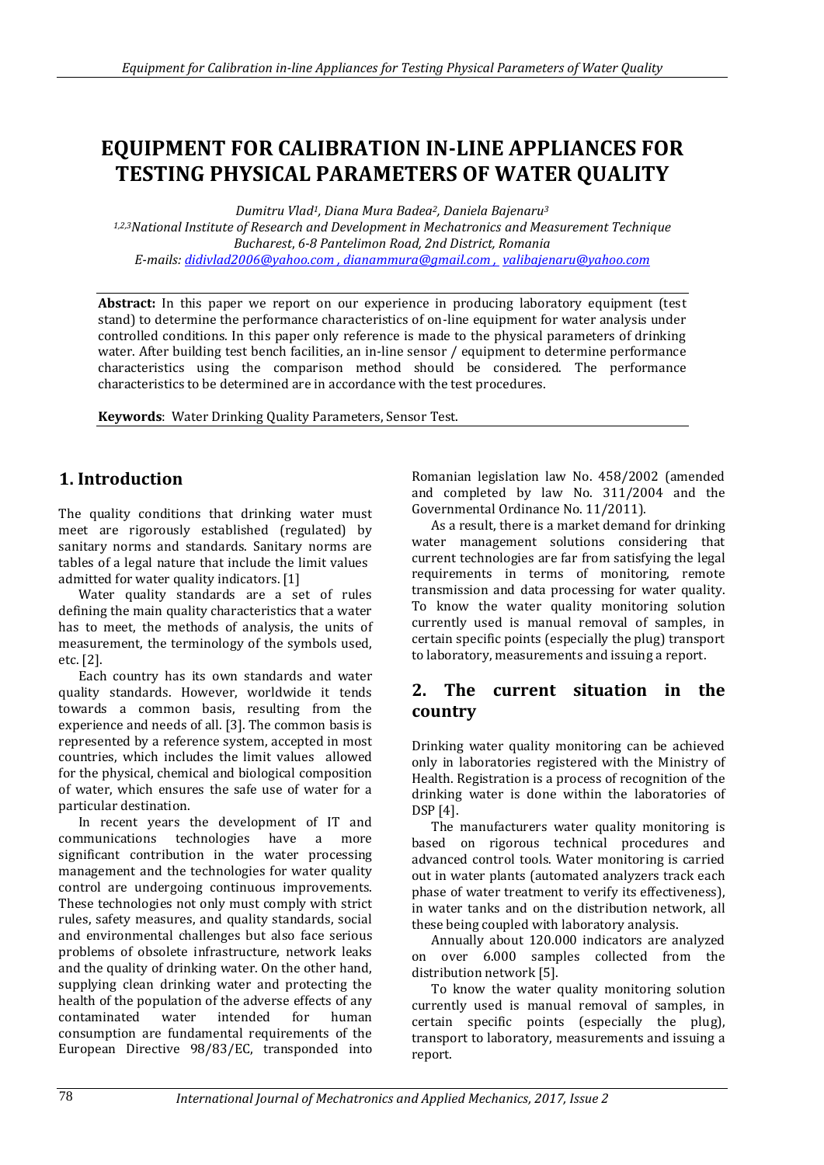# **EQUIPMENT FOR CALIBRATION IN-LINE APPLIANCES FOR TESTING PHYSICAL PARAMETERS OF WATER QUALITY**

*Dumitru Vlad1, Diana Mura Badea2, Daniela Bajenaru<sup>3</sup>*

*1,2,3National Institute of Research and Development in Mechatronics and Measurement Technique Bucharest*, *6-8 Pantelimon Road, 2nd District, Romania E-mails: didivlad2006@yahoo.com , dianammura@gmail.com , [valibajenaru@yahoo.com](mailto:valibajenaru@yahoo.com)*

**Abstract:** In this paper we report on our experience in producing laboratory equipment (test stand) to determine the performance characteristics of on-line equipment for water analysis under controlled conditions. In this paper only reference is made to the physical parameters of drinking water. After building test bench facilities, an in-line sensor / equipment to determine performance characteristics using the comparison method should be considered. The performance characteristics to be determined are in accordance with the test procedures.

**Keywords**: Water Drinking Quality Parameters, Sensor Test.

# **1. Introduction**

The quality conditions that drinking water must meet are rigorously established (regulated) by sanitary norms and standards. Sanitary norms are tables of a legal nature that include the limit values admitted for water quality indicators. [1]

Water quality standards are a set of rules defining the main quality characteristics that a water has to meet, the methods of analysis, the units of measurement, the terminology of the symbols used, etc. [2].

Each country has its own standards and water quality standards. However, worldwide it tends towards a common basis, resulting from the experience and needs of all. [3]. The common basis is represented by a reference system, accepted in most countries, which includes the limit values allowed for the physical, chemical and biological composition of water, which ensures the safe use of water for a particular destination.

In recent years the development of IT and communications technologies have a more significant contribution in the water processing management and the technologies for water quality control are undergoing continuous improvements. These technologies not only must comply with strict rules, safety measures, and quality standards, social and environmental challenges but also face serious problems of obsolete infrastructure, network leaks and the quality of drinking water. On the other hand, supplying clean drinking water and protecting the health of the population of the adverse effects of any contaminated water intended for human consumption are fundamental requirements of the European Directive 98/83/EC, transponded into

Romanian legislation law No. 458/2002 (amended and completed by law No. 311/2004 and the Governmental Ordinance No. 11/2011).

As a result, there is a market demand for drinking water management solutions considering that current technologies are far from satisfying the legal requirements in terms of monitoring, remote transmission and data processing for water quality. To know the water quality monitoring solution currently used is manual removal of samples, in certain specific points (especially the plug) transport to laboratory, measurements and issuing a report.

# **2. The current situation in the country**

Drinking water quality monitoring can be achieved only in laboratories registered with the Ministry of Health. Registration is a process of recognition of the drinking water is done within the laboratories of DSP [4].

The manufacturers water quality monitoring is based on rigorous technical procedures and advanced control tools. Water monitoring is carried out in water plants (automated analyzers track each phase of water treatment to verify its effectiveness), in water tanks and on the distribution network, all these being coupled with laboratory analysis.

Annually about 120.000 indicators are analyzed on over 6.000 samples collected from the distribution network [5].

To know the water quality monitoring solution currently used is manual removal of samples, in certain specific points (especially the plug), transport to laboratory, measurements and issuing a report.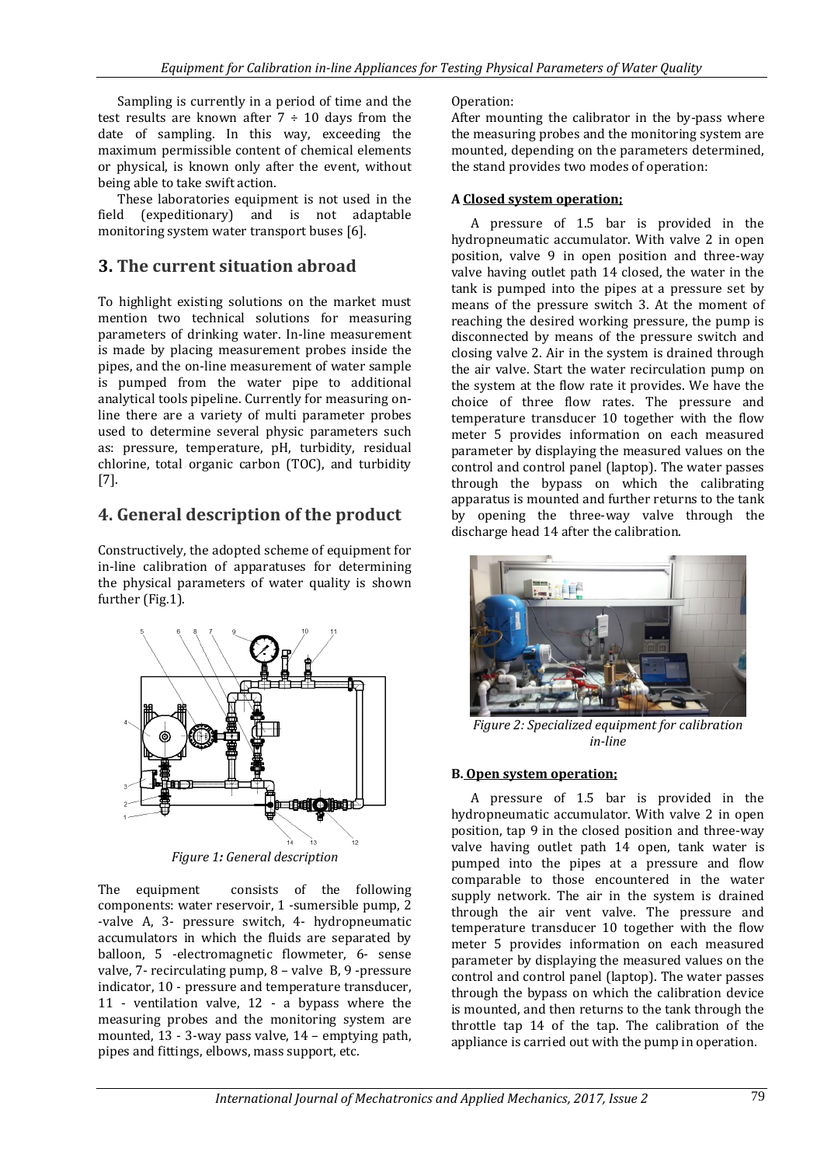Sampling is currently in a period of time and the test results are known after  $7 \div 10$  days from the date of sampling. In this way, exceeding the maximum permissible content of chemical elements or physical, is known only after the event, without being able to take swift action.

These laboratories equipment is not used in the field (expeditionary) and is not adaptable monitoring system water transport buses [6].

## **3. The current situation abroad**

To highlight existing solutions on the market must mention two technical solutions for measuring parameters of drinking water. In-line measurement is made by placing measurement probes inside the pipes, and the on-line measurement of water sample is pumped from the water pipe to additional analytical tools pipeline. Currently for measuring online there are a variety of multi parameter probes used to determine several physic parameters such as: pressure, temperature, pH, turbidity, residual chlorine, total organic carbon (TOC), and turbidity [7].

# **4. General description of the product**

Constructively, the adopted scheme of equipment for in-line calibration of apparatuses for determining the physical parameters of water quality is shown further (Fig.1).



*Figure 1: General description*

The equipment consists of the following components: water reservoir, 1 -sumersible pump, 2 -valve A, 3- pressure switch, 4- hydropneumatic accumulators in which the fluids are separated by balloon, 5 -electromagnetic flowmeter, 6- sense valve, 7- recirculating pump, 8 – valve B, 9 -pressure indicator, 10 - pressure and temperature transducer, 11 - ventilation valve, 12 - a bypass where the measuring probes and the monitoring system are mounted, 13 - 3-way pass valve, 14 – emptying path, pipes and fittings, elbows, mass support, etc.

### Operation:

After mounting the calibrator in the by-pass where the measuring probes and the monitoring system are mounted, depending on the parameters determined, the stand provides two modes of operation:

### **A Closed system operation;**

A pressure of 1.5 bar is provided in the hydropneumatic accumulator. With valve 2 in open position, valve 9 in open position and three-way valve having outlet path 14 closed, the water in the tank is pumped into the pipes at a pressure set by means of the pressure switch 3. At the moment of reaching the desired working pressure, the pump is disconnected by means of the pressure switch and closing valve 2. Air in the system is drained through the air valve. Start the water recirculation pump on the system at the flow rate it provides. We have the choice of three flow rates. The pressure and temperature transducer 10 together with the flow meter 5 provides information on each measured parameter by displaying the measured values on the control and control panel (laptop). The water passes through the bypass on which the calibrating apparatus is mounted and further returns to the tank by opening the three-way valve through the discharge head 14 after the calibration.



*Figure 2: Specialized equipment for calibration in-line*

### **B. Open system operation;**

A pressure of 1.5 bar is provided in the hydropneumatic accumulator. With valve 2 in open position, tap 9 in the closed position and three-way valve having outlet path 14 open, tank water is pumped into the pipes at a pressure and flow comparable to those encountered in the water supply network. The air in the system is drained through the air vent valve. The pressure and temperature transducer 10 together with the flow meter 5 provides information on each measured parameter by displaying the measured values on the control and control panel (laptop). The water passes through the bypass on which the calibration device is mounted, and then returns to the tank through the throttle tap 14 of the tap. The calibration of the appliance is carried out with the pump in operation.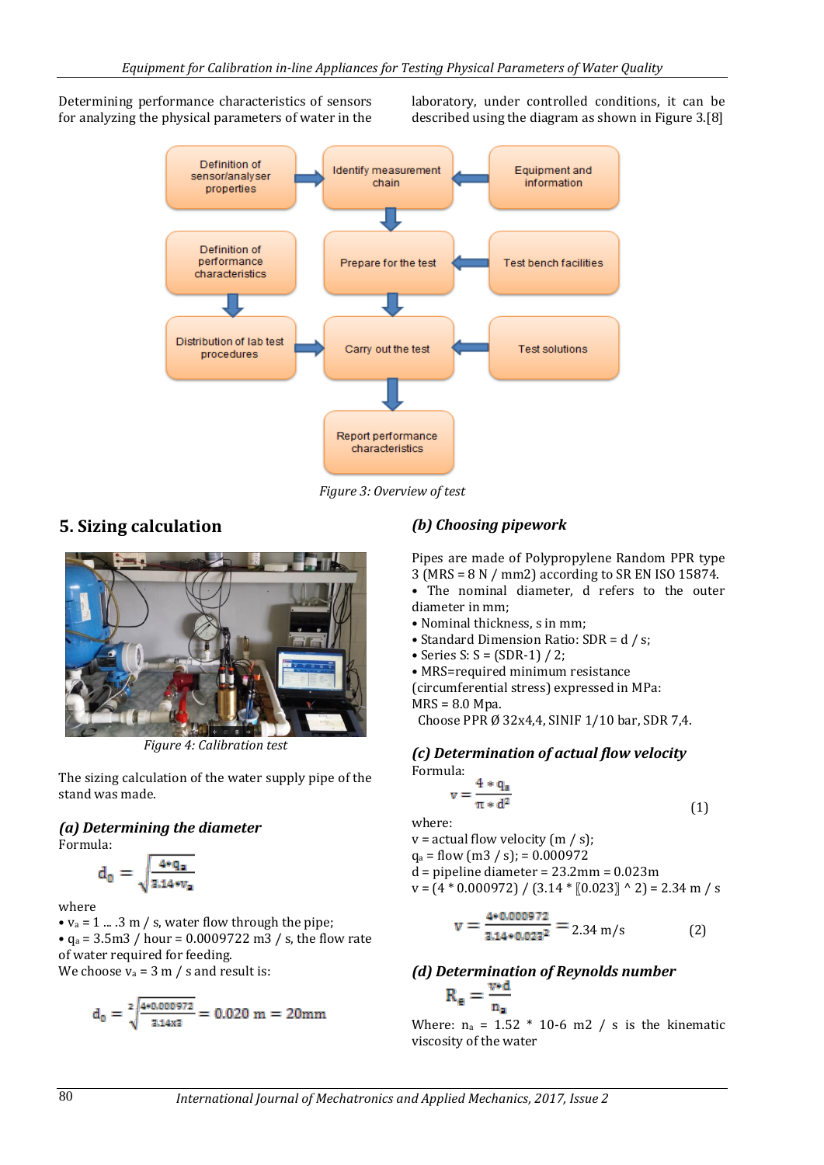Determining performance characteristics of sensors for analyzing the physical parameters of water in the laboratory, under controlled conditions, it can be described using the diagram as shown in Figure 3.[8]



*Figure 3: Overview of test* 

# **5. Sizing calculation**



*Figure 4: Calibration test*

The sizing calculation of the water supply pipe of the stand was made.

#### *(a) Determining the diameter* Formula:

$$
d_0 = \sqrt{\frac{4*q_n}{3.14*v_n}}
$$

where

•  $v_a = 1$  ... .3 m / s, water flow through the pipe; •  $q_a = 3.5 \text{m}$  / hour = 0.0009722 m3 / s, the flow rate of water required for feeding. We choose  $v_a = 3$  m / s and result is:

$$
d_0 = \sqrt[2]{\tfrac{4*0.000972}{3.14x3}} = 0.020 \text{ m} = 20 \text{mm}
$$

### *(b) Choosing pipework*

Pipes are made of Polypropylene Random PPR type 3 (MRS = 8 N / mm2) according to SR EN ISO 15874.

• The nominal diameter, d refers to the outer diameter in mm;

- Nominal thickness, s in mm;
- Standard Dimension Ratio: SDR = d / s;
- Series S:  $S = (SDR-1) / 2$ ;

• MRS=required minimum resistance

(circumferential stress) expressed in MPa:

MRS = 8.0 Mpa.

Choose PPR Ø 32x4,4, SINIF 1/10 bar, SDR 7,4.

### *(c) Determination of actual flow velocity* Formula:

$$
v = \frac{4 * q_a}{\pi * d^2} \tag{1}
$$

where:

 $v =$  actual flow velocity (m / s);  $q_a = flow (m3 / s)$ ; = 0.000972  $\ddot{d}$  = pipeline diameter = 23.2mm = 0.023m

$$
v = (4 * 0.000972) / (3.14 * [0.023] ^{\circ} 2) = 2.34 m / s
$$

$$
v = \frac{4 \cdot 0.000972}{3.14 \cdot 0.023^2} = 2.34 \text{ m/s}
$$
 (2)

*(d) Determination of Reynolds number*<br> $R_e = \frac{v \cdot d}{n_a}$ 

Where:  $n_a = 1.52 * 10-6$  m2 / s is the kinematic viscosity of the water